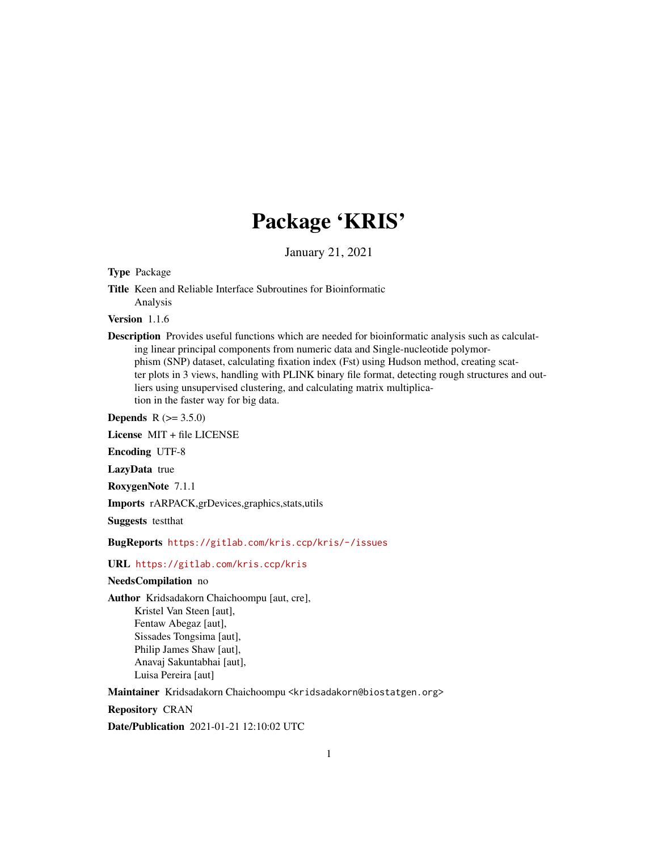# Package 'KRIS'

January 21, 2021

Type Package

Title Keen and Reliable Interface Subroutines for Bioinformatic Analysis

Version 1.1.6

Description Provides useful functions which are needed for bioinformatic analysis such as calculating linear principal components from numeric data and Single-nucleotide polymorphism (SNP) dataset, calculating fixation index (Fst) using Hudson method, creating scatter plots in 3 views, handling with PLINK binary file format, detecting rough structures and outliers using unsupervised clustering, and calculating matrix multiplication in the faster way for big data.

**Depends** R  $(>= 3.5.0)$ 

License MIT + file LICENSE

Encoding UTF-8

LazyData true

RoxygenNote 7.1.1

Imports rARPACK,grDevices,graphics,stats,utils

Suggests testthat

BugReports <https://gitlab.com/kris.ccp/kris/-/issues>

## URL <https://gitlab.com/kris.ccp/kris>

#### NeedsCompilation no

Author Kridsadakorn Chaichoompu [aut, cre],

Kristel Van Steen [aut], Fentaw Abegaz [aut], Sissades Tongsima [aut], Philip James Shaw [aut], Anavaj Sakuntabhai [aut], Luisa Pereira [aut]

Maintainer Kridsadakorn Chaichoompu <kridsadakorn@biostatgen.org>

Repository CRAN

Date/Publication 2021-01-21 12:10:02 UTC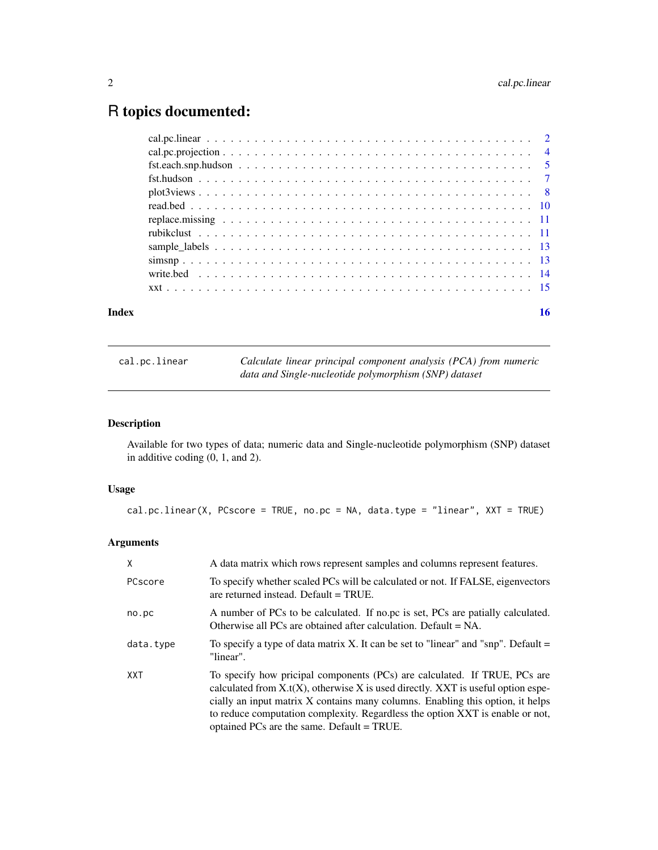# <span id="page-1-0"></span>R topics documented:

| Index | 16 |
|-------|----|
|       |    |
|       |    |
|       |    |
|       |    |
|       |    |
|       |    |
|       |    |
|       |    |
|       |    |
|       |    |
|       |    |
|       |    |

<span id="page-1-1"></span>cal.pc.linear *Calculate linear principal component analysis (PCA) from numeric data and Single-nucleotide polymorphism (SNP) dataset*

# Description

Available for two types of data; numeric data and Single-nucleotide polymorphism (SNP) dataset in additive coding (0, 1, and 2).

# Usage

```
cal.pc.linear(X, PCscore = TRUE, no.pc = NA, data.type = "linear", XXT = TRUE)
```
# Arguments

| X         | A data matrix which rows represent samples and columns represent features.                                                                                                                                                                                                                                                                                                        |
|-----------|-----------------------------------------------------------------------------------------------------------------------------------------------------------------------------------------------------------------------------------------------------------------------------------------------------------------------------------------------------------------------------------|
| PCscore   | To specify whether scaled PCs will be calculated or not. If FALSE, eigenvectors<br>are returned instead. Default $=$ TRUE.                                                                                                                                                                                                                                                        |
| no.pc     | A number of PCs to be calculated. If no.pc is set, PCs are patially calculated.<br>Otherwise all PCs are obtained after calculation. Default $= NA$ .                                                                                                                                                                                                                             |
| data.type | To specify a type of data matrix X. It can be set to "linear" and "snp". Default $=$<br>"linear".                                                                                                                                                                                                                                                                                 |
| XXT       | To specify how pricipal components (PCs) are calculated. If TRUE, PCs are<br>calculated from $X.t(X)$ , otherwise X is used directly. XXT is useful option espe-<br>cially an input matrix X contains many columns. Enabling this option, it helps<br>to reduce computation complexity. Regardless the option XXT is enable or not,<br>optained PCs are the same. Default = TRUE. |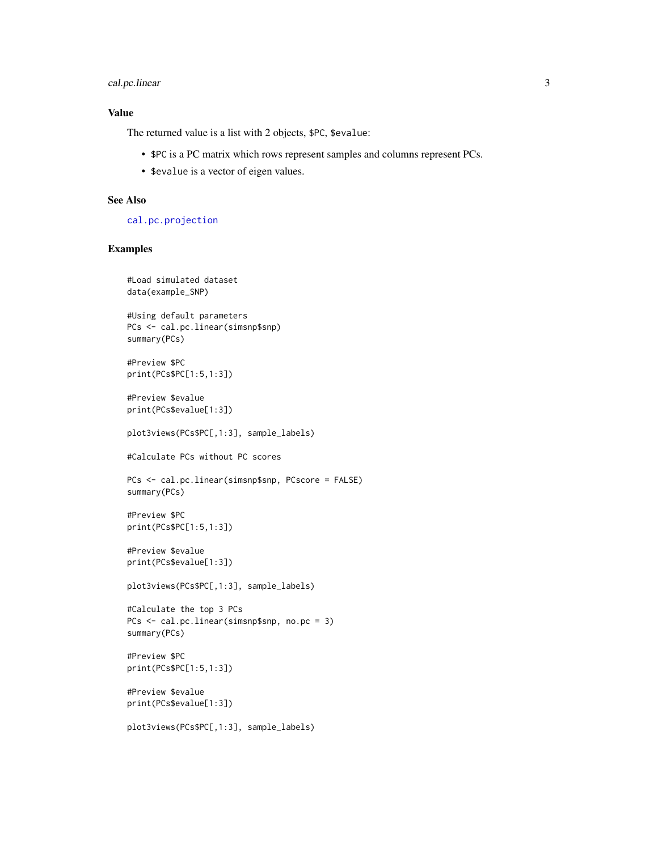# <span id="page-2-0"></span>cal.pc.linear 3

# Value

The returned value is a list with 2 objects, \$PC, \$evalue:

- \$PC is a PC matrix which rows represent samples and columns represent PCs.
- \$evalue is a vector of eigen values.

# See Also

[cal.pc.projection](#page-3-1)

#### Examples

```
#Load simulated dataset
data(example_SNP)
```

```
#Using default parameters
PCs <- cal.pc.linear(simsnp$snp)
summary(PCs)
```
#Preview \$PC print(PCs\$PC[1:5,1:3])

#Preview \$evalue print(PCs\$evalue[1:3])

```
plot3views(PCs$PC[,1:3], sample_labels)
```
#Calculate PCs without PC scores

```
PCs <- cal.pc.linear(simsnp$snp, PCscore = FALSE)
summary(PCs)
```

```
#Preview $PC
print(PCs$PC[1:5,1:3])
```

```
#Preview $evalue
print(PCs$evalue[1:3])
```
plot3views(PCs\$PC[,1:3], sample\_labels)

```
#Calculate the top 3 PCs
PCs <- cal.pc.linear(simsnp$snp, no.pc = 3)
summary(PCs)
```

```
#Preview $PC
print(PCs$PC[1:5,1:3])
```

```
#Preview $evalue
print(PCs$evalue[1:3])
```

```
plot3views(PCs$PC[,1:3], sample_labels)
```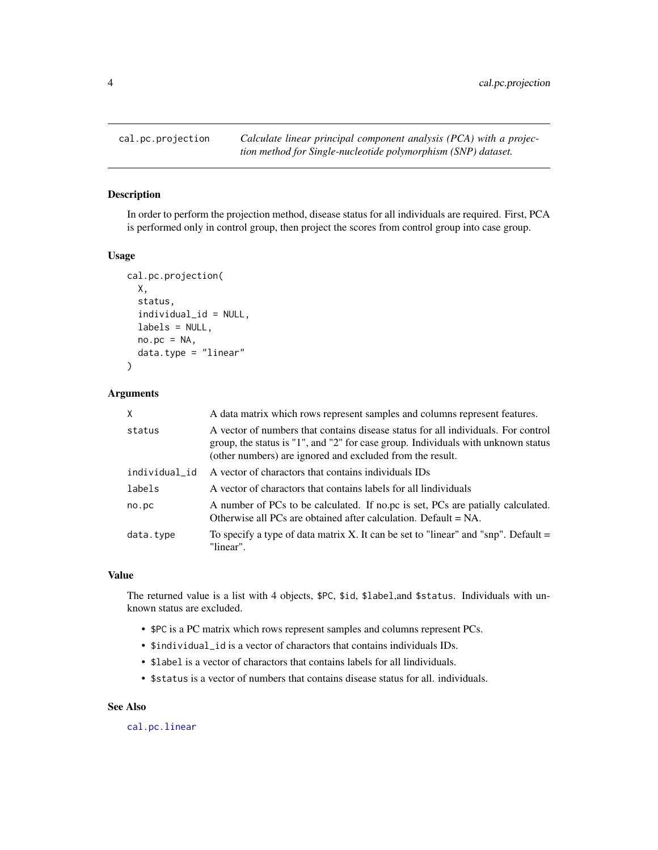<span id="page-3-1"></span><span id="page-3-0"></span>

# Description

In order to perform the projection method, disease status for all individuals are required. First, PCA is performed only in control group, then project the scores from control group into case group.

#### Usage

```
cal.pc.projection(
  X,
  status,
  individual_id = NULL,
  labels = NULL,
  no.pc = NA,
  data.type = "linear"
\lambda
```
#### Arguments

| X             | A data matrix which rows represent samples and columns represent features.                                                                                                                                                            |  |
|---------------|---------------------------------------------------------------------------------------------------------------------------------------------------------------------------------------------------------------------------------------|--|
| status        | A vector of numbers that contains disease status for all individuals. For control<br>group, the status is $1$ ", and "2" for case group. Individuals with unknown status<br>(other numbers) are ignored and excluded from the result. |  |
| individual_id | A vector of charactors that contains individuals IDs                                                                                                                                                                                  |  |
| labels        | A vector of charactors that contains labels for all lindividuals                                                                                                                                                                      |  |
| no.pc         | A number of PCs to be calculated. If no.pc is set, PCs are patially calculated.<br>Otherwise all PCs are obtained after calculation. Default = NA.                                                                                    |  |
| data.type     | To specify a type of data matrix X. It can be set to "linear" and "snp". Default $=$<br>"linear".                                                                                                                                     |  |

# Value

The returned value is a list with 4 objects, \$PC, \$id, \$label,and \$status. Individuals with unknown status are excluded.

- \$PC is a PC matrix which rows represent samples and columns represent PCs.
- \$individual\_id is a vector of charactors that contains individuals IDs.
- \$label is a vector of charactors that contains labels for all lindividuals.
- \$status is a vector of numbers that contains disease status for all. individuals.

# See Also

[cal.pc.linear](#page-1-1)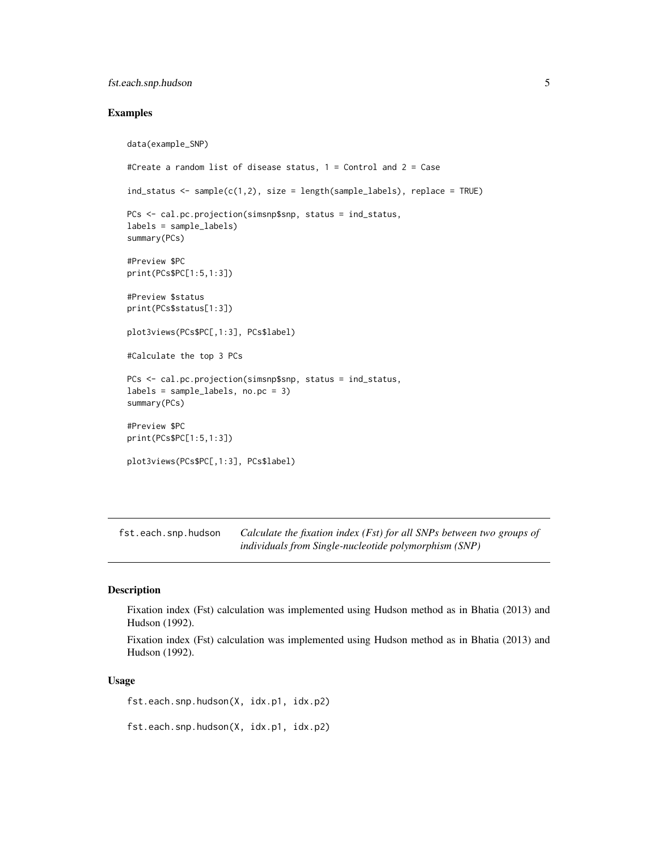# <span id="page-4-0"></span>fst.each.snp.hudson 5

### Examples

```
data(example_SNP)
#Create a random list of disease status, 1 = Control and 2 = Case
ind_status <- sample(c(1,2), size = length(sample_labels), replace = TRUE)
PCs <- cal.pc.projection(simsnp$snp, status = ind_status,
labels = sample_labels)
summary(PCs)
#Preview $PC
print(PCs$PC[1:5,1:3])
#Preview $status
print(PCs$status[1:3])
plot3views(PCs$PC[,1:3], PCs$label)
#Calculate the top 3 PCs
PCs <- cal.pc.projection(simsnp$snp, status = ind_status,
labels = sample_labels, no.pc = 3)
summary(PCs)
#Preview $PC
print(PCs$PC[1:5,1:3])
plot3views(PCs$PC[,1:3], PCs$label)
```
<span id="page-4-1"></span>fst.each.snp.hudson *Calculate the fixation index (Fst) for all SNPs between two groups of individuals from Single-nucleotide polymorphism (SNP)*

# Description

Fixation index (Fst) calculation was implemented using Hudson method as in Bhatia (2013) and Hudson (1992).

Fixation index (Fst) calculation was implemented using Hudson method as in Bhatia (2013) and Hudson (1992).

#### Usage

fst.each.snp.hudson(X, idx.p1, idx.p2)

fst.each.snp.hudson(X, idx.p1, idx.p2)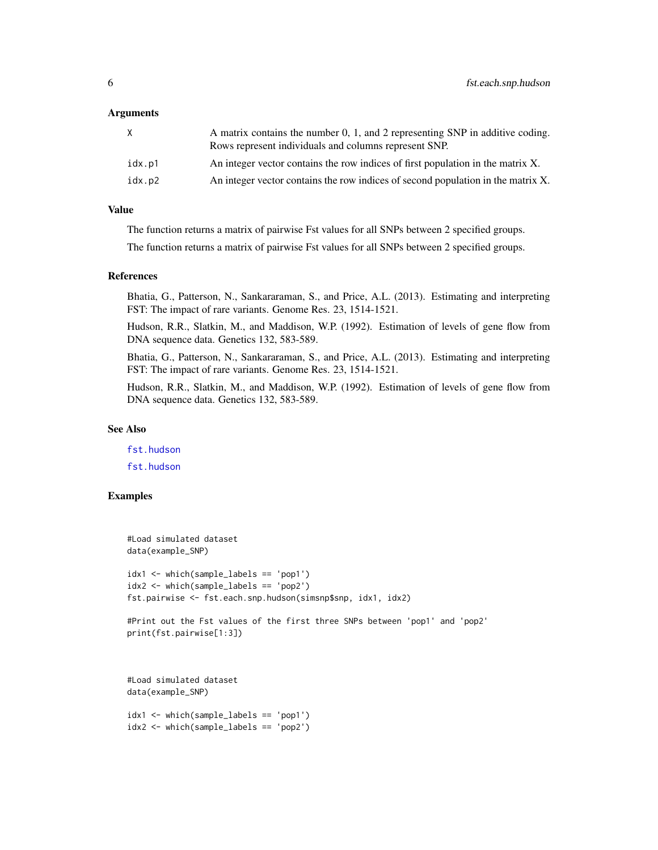#### <span id="page-5-0"></span>Arguments

| X.     | A matrix contains the number 0, 1, and 2 representing SNP in additive coding.<br>Rows represent individuals and columns represent SNP. |
|--------|----------------------------------------------------------------------------------------------------------------------------------------|
| idx.p1 | An integer vector contains the row indices of first population in the matrix X.                                                        |
| idx.p2 | An integer vector contains the row indices of second population in the matrix X.                                                       |

# Value

The function returns a matrix of pairwise Fst values for all SNPs between 2 specified groups.

The function returns a matrix of pairwise Fst values for all SNPs between 2 specified groups.

#### References

Bhatia, G., Patterson, N., Sankararaman, S., and Price, A.L. (2013). Estimating and interpreting FST: The impact of rare variants. Genome Res. 23, 1514-1521.

Hudson, R.R., Slatkin, M., and Maddison, W.P. (1992). Estimation of levels of gene flow from DNA sequence data. Genetics 132, 583-589.

Bhatia, G., Patterson, N., Sankararaman, S., and Price, A.L. (2013). Estimating and interpreting FST: The impact of rare variants. Genome Res. 23, 1514-1521.

Hudson, R.R., Slatkin, M., and Maddison, W.P. (1992). Estimation of levels of gene flow from DNA sequence data. Genetics 132, 583-589.

# See Also

[fst.hudson](#page-6-1) [fst.hudson](#page-6-1)

# Examples

```
#Load simulated dataset
data(example_SNP)
idx1 <- which(sample_labels == 'pop1')
idx2 <- which(sample_labels == 'pop2')
fst.pairwise <- fst.each.snp.hudson(simsnp$snp, idx1, idx2)
#Print out the Fst values of the first three SNPs between 'pop1' and 'pop2'
print(fst.pairwise[1:3])
#Load simulated dataset
data(example_SNP)
```
idx1 <- which(sample\_labels == 'pop1') idx2 <- which(sample\_labels == 'pop2')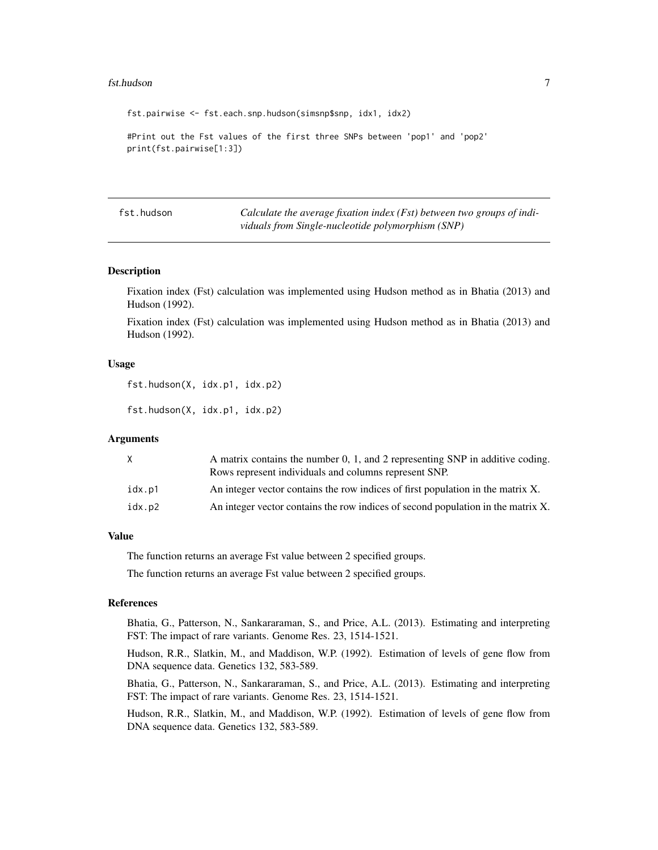#### <span id="page-6-0"></span>fst.hudson 7

fst.pairwise <- fst.each.snp.hudson(simsnp\$snp, idx1, idx2) #Print out the Fst values of the first three SNPs between 'pop1' and 'pop2' print(fst.pairwise[1:3])

<span id="page-6-1"></span>fst.hudson *Calculate the average fixation index (Fst) between two groups of individuals from Single-nucleotide polymorphism (SNP)*

#### **Description**

Fixation index (Fst) calculation was implemented using Hudson method as in Bhatia (2013) and Hudson (1992).

Fixation index (Fst) calculation was implemented using Hudson method as in Bhatia (2013) and Hudson (1992).

#### Usage

fst.hudson(X, idx.p1, idx.p2)

fst.hudson(X, idx.p1, idx.p2)

#### Arguments

| X      | A matrix contains the number 0, 1, and 2 representing SNP in additive coding.<br>Rows represent individuals and columns represent SNP. |
|--------|----------------------------------------------------------------------------------------------------------------------------------------|
| idx.p1 | An integer vector contains the row indices of first population in the matrix X.                                                        |
| idx.p2 | An integer vector contains the row indices of second population in the matrix X.                                                       |

### Value

The function returns an average Fst value between 2 specified groups.

The function returns an average Fst value between 2 specified groups.

#### References

Bhatia, G., Patterson, N., Sankararaman, S., and Price, A.L. (2013). Estimating and interpreting FST: The impact of rare variants. Genome Res. 23, 1514-1521.

Hudson, R.R., Slatkin, M., and Maddison, W.P. (1992). Estimation of levels of gene flow from DNA sequence data. Genetics 132, 583-589.

Bhatia, G., Patterson, N., Sankararaman, S., and Price, A.L. (2013). Estimating and interpreting FST: The impact of rare variants. Genome Res. 23, 1514-1521.

Hudson, R.R., Slatkin, M., and Maddison, W.P. (1992). Estimation of levels of gene flow from DNA sequence data. Genetics 132, 583-589.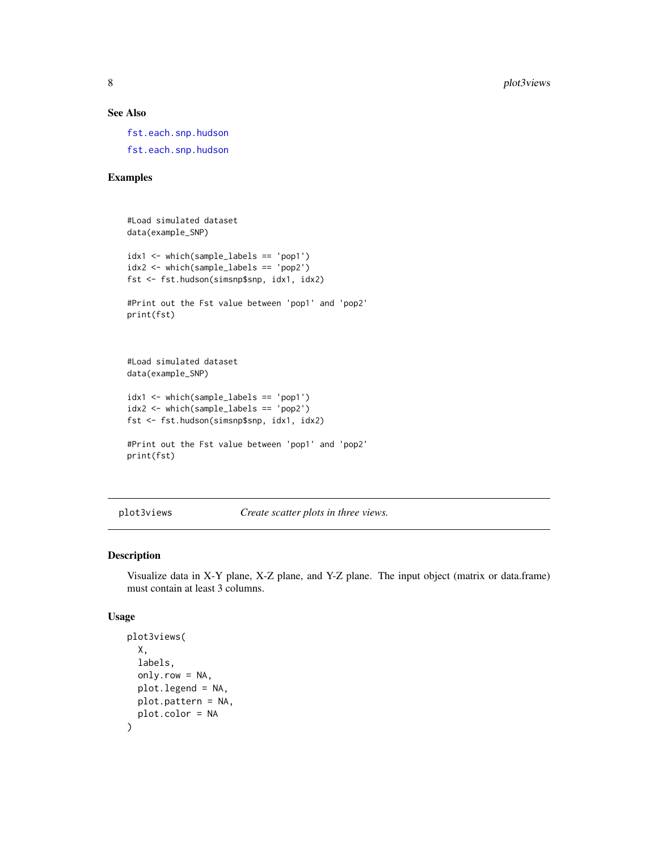# See Also

[fst.each.snp.hudson](#page-4-1) [fst.each.snp.hudson](#page-4-1)

# Examples

```
#Load simulated dataset
data(example_SNP)
idx1 <- which(sample_labels == 'pop1')
idx2 <- which(sample_labels == 'pop2')
fst <- fst.hudson(simsnp$snp, idx1, idx2)
#Print out the Fst value between 'pop1' and 'pop2'
print(fst)
#Load simulated dataset
data(example_SNP)
idx1 <- which(sample_labels == 'pop1')
idx2 <- which(sample_labels == 'pop2')
fst <- fst.hudson(simsnp$snp, idx1, idx2)
#Print out the Fst value between 'pop1' and 'pop2'
print(fst)
```
plot3views *Create scatter plots in three views.*

# Description

Visualize data in X-Y plane, X-Z plane, and Y-Z plane. The input object (matrix or data.frame) must contain at least 3 columns.

#### Usage

```
plot3views(
 X,
  labels,
  only.row = NA,
  plot.legend = NA,
 plot.pattern = NA,
 plot.color = NA
\mathcal{E}
```
<span id="page-7-0"></span>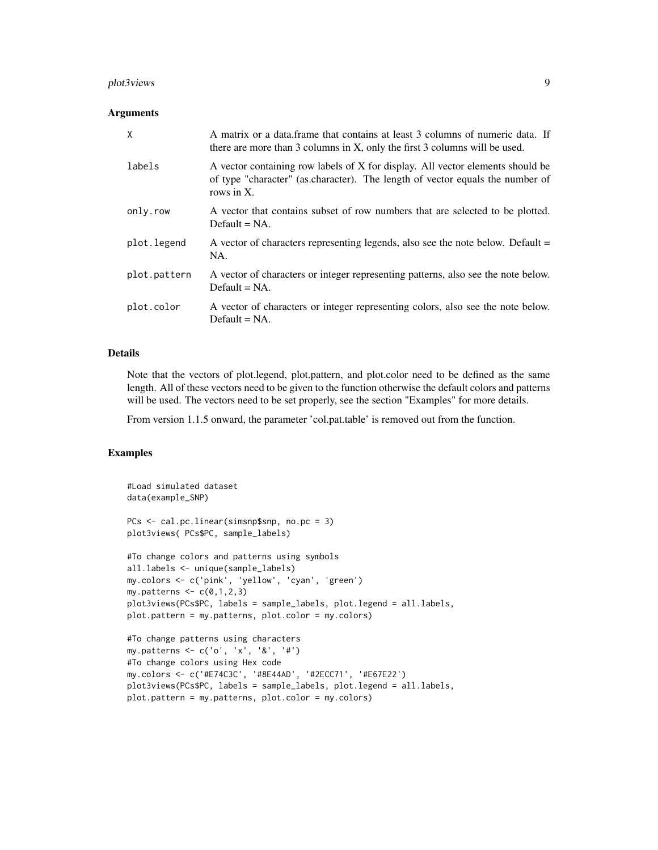#### plot3views 9

#### **Arguments**

| X            | A matrix or a data frame that contains at least 3 columns of numeric data. If<br>there are more than 3 columns in X, only the first 3 columns will be used.                   |
|--------------|-------------------------------------------------------------------------------------------------------------------------------------------------------------------------------|
| labels       | A vector containing row labels of X for display. All vector elements should be<br>of type "character" (as character). The length of vector equals the number of<br>rows in X. |
| only.row     | A vector that contains subset of row numbers that are selected to be plotted.<br>Default $= NA$ .                                                                             |
| plot.legend  | A vector of characters representing legends, also see the note below. Default $=$<br>NA.                                                                                      |
| plot.pattern | A vector of characters or integer representing patterns, also see the note below.<br>Default $= NA$ .                                                                         |
| plot.color   | A vector of characters or integer representing colors, also see the note below.<br>Default $= NA$ .                                                                           |

# Details

Note that the vectors of plot.legend, plot.pattern, and plot.color need to be defined as the same length. All of these vectors need to be given to the function otherwise the default colors and patterns will be used. The vectors need to be set properly, see the section "Examples" for more details.

From version 1.1.5 onward, the parameter 'col.pat.table' is removed out from the function.

#### Examples

```
#Load simulated dataset
data(example_SNP)
PCs <- cal.pc.linear(simsnp$snp, no.pc = 3)
plot3views( PCs$PC, sample_labels)
#To change colors and patterns using symbols
all.labels <- unique(sample_labels)
my.colors <- c('pink', 'yellow', 'cyan', 'green')
my.patterns \leq c(0,1,2,3)plot3views(PCs$PC, labels = sample_labels, plot.legend = all.labels,
plot.pattern = my.patterns, plot.color = my.colors)
#To change patterns using characters
my.patterns <- c('o', 'x', '&', '#')
#To change colors using Hex code
my.colors <- c('#E74C3C', '#8E44AD', '#2ECC71', '#E67E22')
plot3views(PCs$PC, labels = sample_labels, plot.legend = all.labels,
plot.pattern = my.patterns, plot.color = my.colors)
```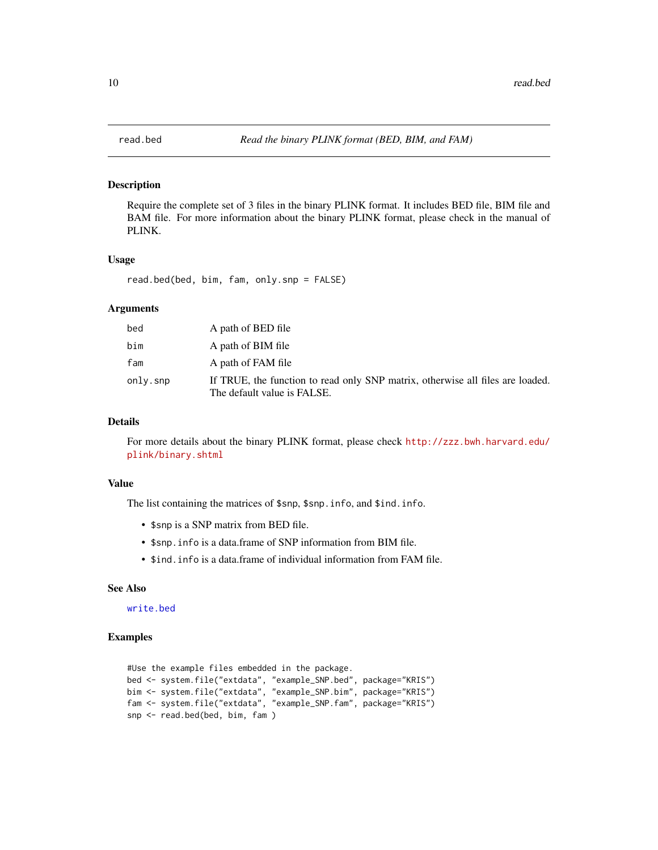#### Description

Require the complete set of 3 files in the binary PLINK format. It includes BED file, BIM file and BAM file. For more information about the binary PLINK format, please check in the manual of PLINK.

# Usage

read.bed(bed, bim, fam, only.snp = FALSE)

#### Arguments

| bed      | A path of BED file                                                                                            |
|----------|---------------------------------------------------------------------------------------------------------------|
| bim      | A path of BIM file                                                                                            |
| fam      | A path of FAM file                                                                                            |
| only.snp | If TRUE, the function to read only SNP matrix, otherwise all files are loaded.<br>The default value is FALSE. |

#### Details

For more details about the binary PLINK format, please check [http://zzz.bwh.harvard.edu/](http://zzz.bwh.harvard.edu/plink/binary.shtml) [plink/binary.shtml](http://zzz.bwh.harvard.edu/plink/binary.shtml)

# Value

The list containing the matrices of \$snp, \$snp.info, and \$ind.info.

- \$snp is a SNP matrix from BED file.
- \$snp.info is a data.frame of SNP information from BIM file.
- \$ind.info is a data.frame of individual information from FAM file.

# See Also

# [write.bed](#page-13-1)

#### Examples

```
#Use the example files embedded in the package.
bed <- system.file("extdata", "example_SNP.bed", package="KRIS")
bim <- system.file("extdata", "example_SNP.bim", package="KRIS")
fam <- system.file("extdata", "example_SNP.fam", package="KRIS")
snp <- read.bed(bed, bim, fam )
```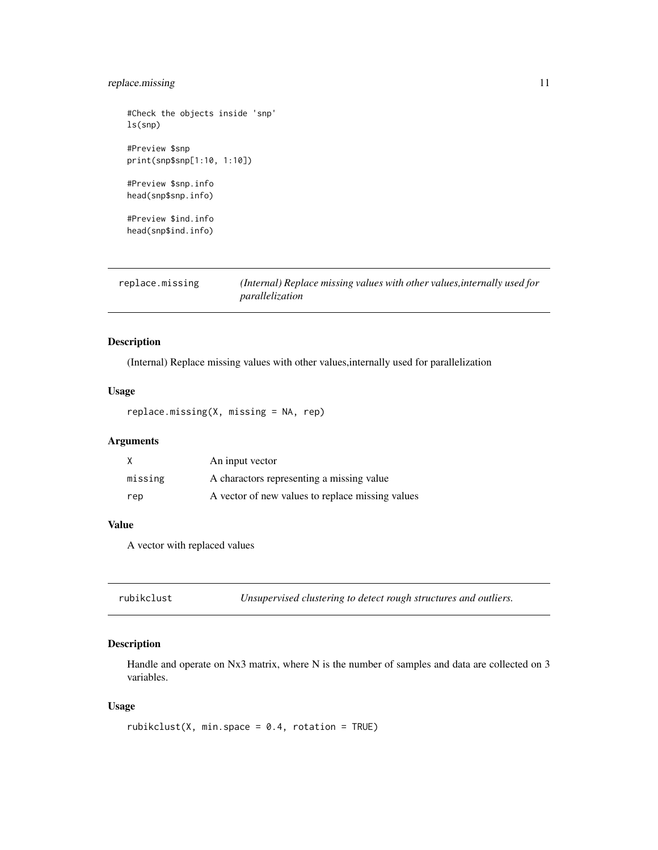# <span id="page-10-0"></span>replace.missing 11

#Check the objects inside 'snp' ls(snp) #Preview \$snp print(snp\$snp[1:10, 1:10]) #Preview \$snp.info head(snp\$snp.info) #Preview \$ind.info head(snp\$ind.info)

replace.missing *(Internal) Replace missing values with other values,internally used for parallelization*

# Description

(Internal) Replace missing values with other values,internally used for parallelization

# Usage

replace.missing(X, missing = NA, rep)

# Arguments

|         | An input vector                                  |
|---------|--------------------------------------------------|
| missing | A charactors representing a missing value        |
| rep     | A vector of new values to replace missing values |

# Value

A vector with replaced values

rubikclust *Unsupervised clustering to detect rough structures and outliers.*

# Description

Handle and operate on Nx3 matrix, where N is the number of samples and data are collected on 3 variables.

# Usage

```
rubikclust(X, min.space = 0.4, rotation = TRUE)
```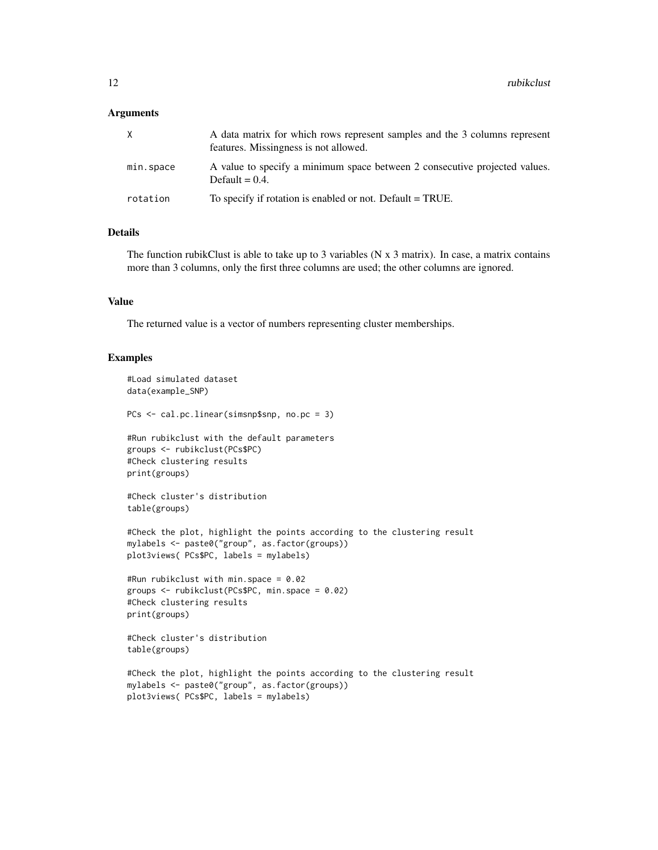#### **Arguments**

| X         | A data matrix for which rows represent samples and the 3 columns represent<br>features. Missingness is not allowed. |
|-----------|---------------------------------------------------------------------------------------------------------------------|
| min.space | A value to specify a minimum space between 2 consecutive projected values.<br>Default = $0.4$ .                     |
| rotation  | To specify if rotation is enabled or not. Default = TRUE.                                                           |

# Details

The function rubikClust is able to take up to 3 variables ( $N \times 3$  matrix). In case, a matrix contains more than 3 columns, only the first three columns are used; the other columns are ignored.

# Value

The returned value is a vector of numbers representing cluster memberships.

## Examples

```
#Load simulated dataset
data(example_SNP)
PCs <- cal.pc.linear(simsnp$snp, no.pc = 3)
#Run rubikclust with the default parameters
groups <- rubikclust(PCs$PC)
#Check clustering results
print(groups)
#Check cluster's distribution
table(groups)
#Check the plot, highlight the points according to the clustering result
mylabels <- paste0("group", as.factor(groups))
plot3views( PCs$PC, labels = mylabels)
#Run rubikclust with min.space = 0.02
groups <- rubikclust(PCs$PC, min.space = 0.02)
#Check clustering results
print(groups)
#Check cluster's distribution
table(groups)
#Check the plot, highlight the points according to the clustering result
mylabels <- paste0("group", as.factor(groups))
```

```
plot3views( PCs$PC, labels = mylabels)
```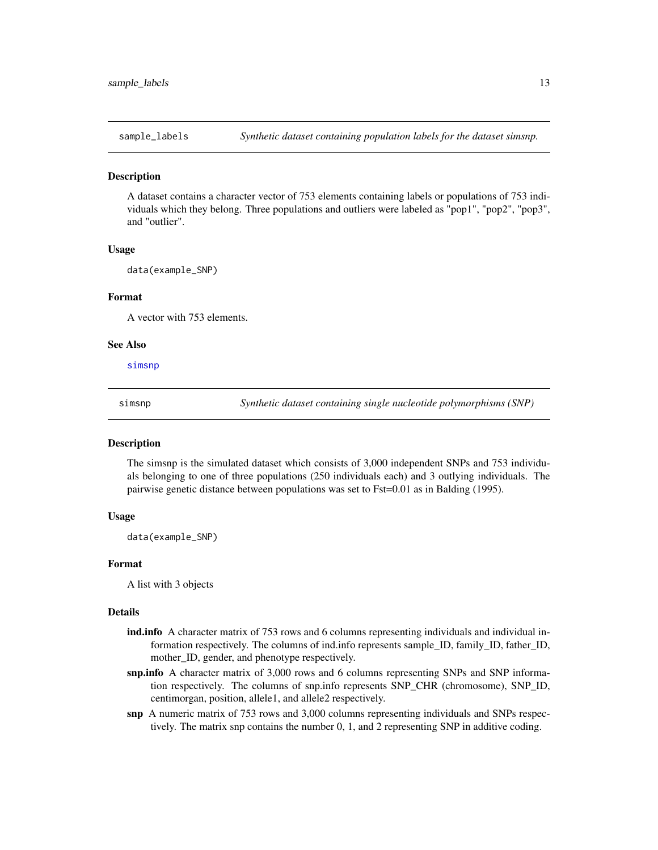<span id="page-12-2"></span><span id="page-12-0"></span>

# **Description**

A dataset contains a character vector of 753 elements containing labels or populations of 753 individuals which they belong. Three populations and outliers were labeled as "pop1", "pop2", "pop3", and "outlier".

#### Usage

data(example\_SNP)

#### Format

A vector with 753 elements.

#### See Also

[simsnp](#page-12-1)

<span id="page-12-1"></span>

simsnp *Synthetic dataset containing single nucleotide polymorphisms (SNP)*

### Description

The simsnp is the simulated dataset which consists of 3,000 independent SNPs and 753 individuals belonging to one of three populations (250 individuals each) and 3 outlying individuals. The pairwise genetic distance between populations was set to Fst=0.01 as in Balding (1995).

#### Usage

data(example\_SNP)

#### Format

A list with 3 objects

#### Details

- ind.info A character matrix of 753 rows and 6 columns representing individuals and individual information respectively. The columns of ind.info represents sample\_ID, family\_ID, father\_ID, mother\_ID, gender, and phenotype respectively.
- snp.info A character matrix of 3,000 rows and 6 columns representing SNPs and SNP information respectively. The columns of snp.info represents SNP\_CHR (chromosome), SNP\_ID, centimorgan, position, allele1, and allele2 respectively.
- snp A numeric matrix of 753 rows and 3,000 columns representing individuals and SNPs respectively. The matrix snp contains the number 0, 1, and 2 representing SNP in additive coding.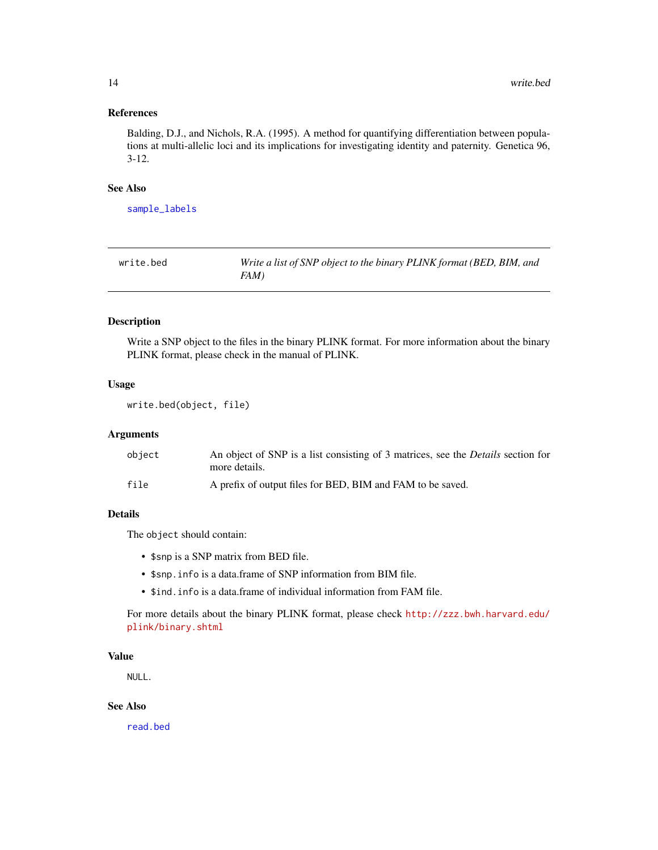# <span id="page-13-0"></span>References

Balding, D.J., and Nichols, R.A. (1995). A method for quantifying differentiation between populations at multi-allelic loci and its implications for investigating identity and paternity. Genetica 96, 3-12.

# See Also

[sample\\_labels](#page-12-2)

<span id="page-13-1"></span>

| write.bed | Write a list of SNP object to the binary PLINK format (BED, BIM, and |
|-----------|----------------------------------------------------------------------|
|           | FAM)                                                                 |

#### Description

Write a SNP object to the files in the binary PLINK format. For more information about the binary PLINK format, please check in the manual of PLINK.

## Usage

```
write.bed(object, file)
```
# Arguments

| object | An object of SNP is a list consisting of 3 matrices, see the <i>Details</i> section for<br>more details. |
|--------|----------------------------------------------------------------------------------------------------------|
| file   | A prefix of output files for BED, BIM and FAM to be saved.                                               |

# Details

The object should contain:

- \$snp is a SNP matrix from BED file.
- \$snp.info is a data.frame of SNP information from BIM file.
- \$ind.info is a data.frame of individual information from FAM file.

For more details about the binary PLINK format, please check [http://zzz.bwh.harvard.edu/](http://zzz.bwh.harvard.edu/plink/binary.shtml) [plink/binary.shtml](http://zzz.bwh.harvard.edu/plink/binary.shtml)

# Value

NULL.

# See Also

[read.bed](#page-9-1)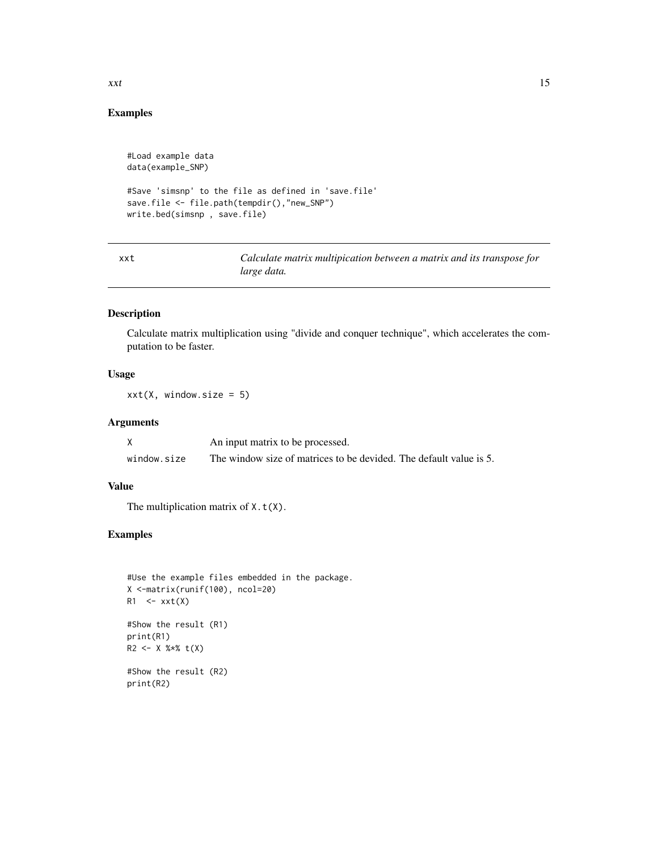# Examples

```
#Load example data
data(example_SNP)
#Save 'simsnp' to the file as defined in 'save.file'
save.file <- file.path(tempdir(),"new_SNP")
write.bed(simsnp , save.file)
```
xxt *Calculate matrix multipication between a matrix and its transpose for large data.*

# Description

Calculate matrix multiplication using "divide and conquer technique", which accelerates the computation to be faster.

# Usage

 $xxt(X, window.size = 5)$ 

# Arguments

|             | An input matrix to be processed.                                   |  |
|-------------|--------------------------------------------------------------------|--|
| window.size | The window size of matrices to be devided. The default value is 5. |  |

# Value

The multiplication matrix of  $X.t(X)$ .

# Examples

```
#Use the example files embedded in the package.
X <-matrix(runif(100), ncol=20)
R1 \le -xxt(X)#Show the result (R1)
print(R1)
R2 <- X %*% t(X)
#Show the result (R2)
print(R2)
```
<span id="page-14-0"></span> $xxt$  15